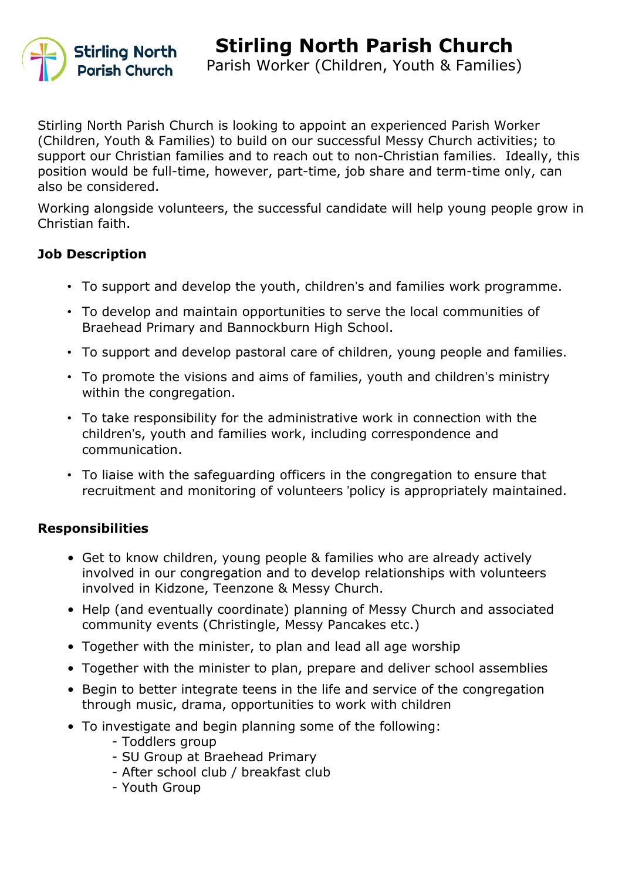

Stirling North Parish Church is looking to appoint an experienced Parish Worker (Children, Youth & Families) to build on our successful Messy Church activities; to support our Christian families and to reach out to non-Christian families. Ideally, this position would be full-time, however, part-time, job share and term-time only, can also be considered.

Working alongside volunteers, the successful candidate will help young people grow in Christian faith.

#### **Job Description**

- To support and develop the youth, children's and families work programme.
- To develop and maintain opportunities to serve the local communities of Braehead Primary and Bannockburn High School.
- To support and develop pastoral care of children, young people and families.
- To promote the visions and aims of families, youth and children's ministry within the congregation.
- To take responsibility for the administrative work in connection with the children's, youth and families work, including correspondence and communication.
- To liaise with the safeguarding officers in the congregation to ensure that recruitment and monitoring of volunteers 'policy is appropriately maintained.

### **Responsibilities**

- Get to know children, young people & families who are already actively involved in our congregation and to develop relationships with volunteers involved in Kidzone, Teenzone & Messy Church.
- Help (and eventually coordinate) planning of Messy Church and associated community events (Christingle, Messy Pancakes etc.)
- Together with the minister, to plan and lead all age worship
- Together with the minister to plan, prepare and deliver school assemblies
- Begin to better integrate teens in the life and service of the congregation through music, drama, opportunities to work with children
- To investigate and begin planning some of the following:
	- Toddlers group
	- SU Group at Braehead Primary
	- After school club / breakfast club
	- Youth Group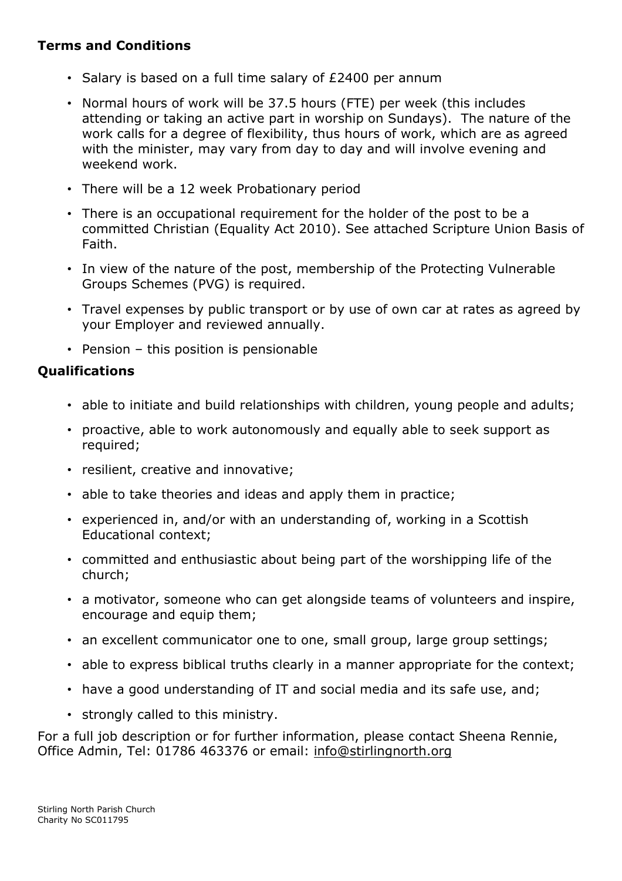## **Terms and Conditions**

- Salary is based on a full time salary of £2400 per annum
- Normal hours of work will be 37.5 hours (FTE) per week (this includes attending or taking an active part in worship on Sundays). The nature of the work calls for a degree of flexibility, thus hours of work, which are as agreed with the minister, may vary from day to day and will involve evening and weekend work.
- There will be a 12 week Probationary period
- There is an occupational requirement for the holder of the post to be a committed Christian (Equality Act 2010). See attached Scripture Union Basis of Faith.
- In view of the nature of the post, membership of the Protecting Vulnerable Groups Schemes (PVG) is required.
- Travel expenses by public transport or by use of own car at rates as agreed by your Employer and reviewed annually.
- Pension this position is pensionable

## **Qualifications**

- able to initiate and build relationships with children, young people and adults;
- proactive, able to work autonomously and equally able to seek support as required;
- resilient, creative and innovative;
- able to take theories and ideas and apply them in practice;
- experienced in, and/or with an understanding of, working in a Scottish Educational context;
- committed and enthusiastic about being part of the worshipping life of the church;
- a motivator, someone who can get alongside teams of volunteers and inspire, encourage and equip them;
- an excellent communicator one to one, small group, large group settings;
- able to express biblical truths clearly in a manner appropriate for the context;
- have a good understanding of IT and social media and its safe use, and;
- strongly called to this ministry.

For a full job description or for further information, please contact Sheena Rennie, Office Admin, Tel: 01786 463376 or email: [info@stirlingnorth.org](mailto:info@stirlingnorth.org)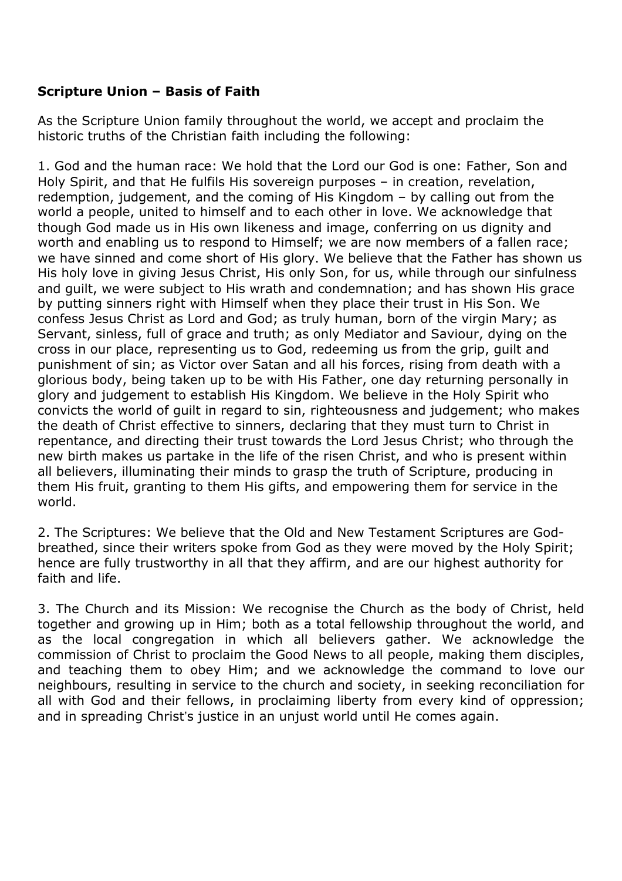### **Scripture Union – Basis of Faith**

As the Scripture Union family throughout the world, we accept and proclaim the historic truths of the Christian faith including the following:

1. God and the human race: We hold that the Lord our God is one: Father, Son and Holy Spirit, and that He fulfils His sovereign purposes – in creation, revelation, redemption, judgement, and the coming of His Kingdom – by calling out from the world a people, united to himself and to each other in love. We acknowledge that though God made us in His own likeness and image, conferring on us dignity and worth and enabling us to respond to Himself; we are now members of a fallen race; we have sinned and come short of His glory. We believe that the Father has shown us His holy love in giving Jesus Christ, His only Son, for us, while through our sinfulness and guilt, we were subject to His wrath and condemnation; and has shown His grace by putting sinners right with Himself when they place their trust in His Son. We confess Jesus Christ as Lord and God; as truly human, born of the virgin Mary; as Servant, sinless, full of grace and truth; as only Mediator and Saviour, dying on the cross in our place, representing us to God, redeeming us from the grip, guilt and punishment of sin; as Victor over Satan and all his forces, rising from death with a glorious body, being taken up to be with His Father, one day returning personally in glory and judgement to establish His Kingdom. We believe in the Holy Spirit who convicts the world of guilt in regard to sin, righteousness and judgement; who makes the death of Christ effective to sinners, declaring that they must turn to Christ in repentance, and directing their trust towards the Lord Jesus Christ; who through the new birth makes us partake in the life of the risen Christ, and who is present within all believers, illuminating their minds to grasp the truth of Scripture, producing in them His fruit, granting to them His gifts, and empowering them for service in the world.

2. The Scriptures: We believe that the Old and New Testament Scriptures are Godbreathed, since their writers spoke from God as they were moved by the Holy Spirit; hence are fully trustworthy in all that they affirm, and are our highest authority for faith and life.

3. The Church and its Mission: We recognise the Church as the body of Christ, held together and growing up in Him; both as a total fellowship throughout the world, and as the local congregation in which all believers gather. We acknowledge the commission of Christ to proclaim the Good News to all people, making them disciples, and teaching them to obey Him; and we acknowledge the command to love our neighbours, resulting in service to the church and society, in seeking reconciliation for all with God and their fellows, in proclaiming liberty from every kind of oppression; and in spreading Christ's justice in an unjust world until He comes again.